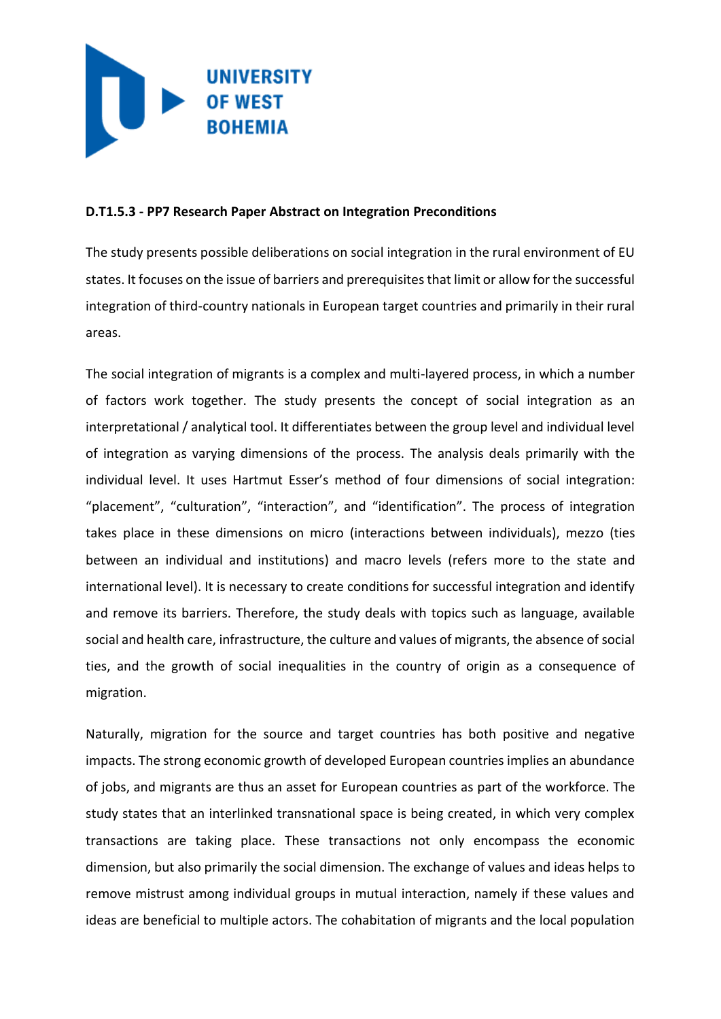

## **D.T1.5.3 - PP7 Research Paper Abstract on Integration Preconditions**

The study presents possible deliberations on social integration in the rural environment of EU states. It focuses on the issue of barriers and prerequisites that limit or allow for the successful integration of third-country nationals in European target countries and primarily in their rural areas.

The social integration of migrants is a complex and multi-layered process, in which a number of factors work together. The study presents the concept of social integration as an interpretational / analytical tool. It differentiates between the group level and individual level of integration as varying dimensions of the process. The analysis deals primarily with the individual level. It uses Hartmut Esser's method of four dimensions of social integration: "placement", "culturation", "interaction", and "identification". The process of integration takes place in these dimensions on micro (interactions between individuals), mezzo (ties between an individual and institutions) and macro levels (refers more to the state and international level). It is necessary to create conditions for successful integration and identify and remove its barriers. Therefore, the study deals with topics such as language, available social and health care, infrastructure, the culture and values of migrants, the absence of social ties, and the growth of social inequalities in the country of origin as a consequence of migration.

Naturally, migration for the source and target countries has both positive and negative impacts. The strong economic growth of developed European countries implies an abundance of jobs, and migrants are thus an asset for European countries as part of the workforce. The study states that an interlinked transnational space is being created, in which very complex transactions are taking place. These transactions not only encompass the economic dimension, but also primarily the social dimension. The exchange of values and ideas helps to remove mistrust among individual groups in mutual interaction, namely if these values and ideas are beneficial to multiple actors. The cohabitation of migrants and the local population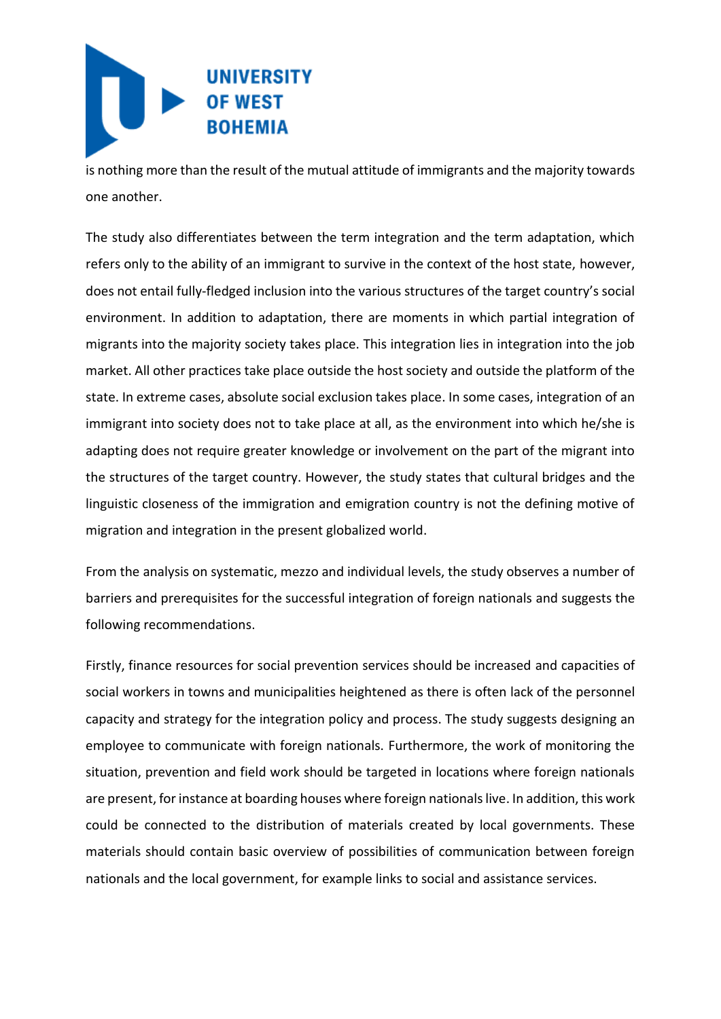

is nothing more than the result of the mutual attitude of immigrants and the majority towards one another.

The study also differentiates between the term integration and the term adaptation, which refers only to the ability of an immigrant to survive in the context of the host state, however, does not entail fully-fledged inclusion into the various structures of the target country's social environment. In addition to adaptation, there are moments in which partial integration of migrants into the majority society takes place. This integration lies in integration into the job market. All other practices take place outside the host society and outside the platform of the state. In extreme cases, absolute social exclusion takes place. In some cases, integration of an immigrant into society does not to take place at all, as the environment into which he/she is adapting does not require greater knowledge or involvement on the part of the migrant into the structures of the target country. However, the study states that cultural bridges and the linguistic closeness of the immigration and emigration country is not the defining motive of migration and integration in the present globalized world.

From the analysis on systematic, mezzo and individual levels, the study observes a number of barriers and prerequisites for the successful integration of foreign nationals and suggests the following recommendations.

Firstly, finance resources for social prevention services should be increased and capacities of social workers in towns and municipalities heightened as there is often lack of the personnel capacity and strategy for the integration policy and process. The study suggests designing an employee to communicate with foreign nationals. Furthermore, the work of monitoring the situation, prevention and field work should be targeted in locations where foreign nationals are present, for instance at boarding houses where foreign nationals live. In addition, this work could be connected to the distribution of materials created by local governments. These materials should contain basic overview of possibilities of communication between foreign nationals and the local government, for example links to social and assistance services.